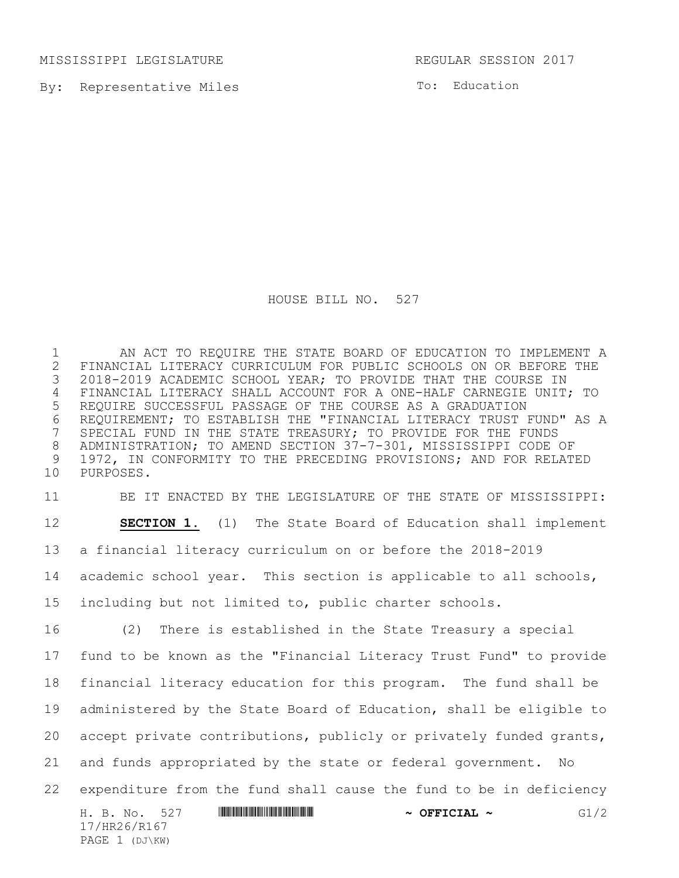MISSISSIPPI LEGISLATURE REGULAR SESSION 2017

By: Representative Miles

To: Education

HOUSE BILL NO. 527

 AN ACT TO REQUIRE THE STATE BOARD OF EDUCATION TO IMPLEMENT A 2 FINANCIAL LITERACY CURRICULUM FOR PUBLIC SCHOOLS ON OR BEFORE THE<br>3 2018-2019 ACADEMIC SCHOOL YEAR; TO PROVIDE THAT THE COURSE IN 2018-2019 ACADEMIC SCHOOL YEAR; TO PROVIDE THAT THE COURSE IN FINANCIAL LITERACY SHALL ACCOUNT FOR A ONE-HALF CARNEGIE UNIT; TO REQUIRE SUCCESSFUL PASSAGE OF THE COURSE AS A GRADUATION 6 REQUIREMENT; TO ESTABLISH THE "FINANCIAL LITERACY TRUST FUND" AS A<br>7 SPECIAL FUND IN THE STATE TREASURY; TO PROVIDE FOR THE FUNDS SPECIAL FUND IN THE STATE TREASURY; TO PROVIDE FOR THE FUNDS ADMINISTRATION; TO AMEND SECTION 37-7-301, MISSISSIPPI CODE OF 1972, IN CONFORMITY TO THE PRECEDING PROVISIONS; AND FOR RELATED PURPOSES.

 BE IT ENACTED BY THE LEGISLATURE OF THE STATE OF MISSISSIPPI: **SECTION 1.** (1) The State Board of Education shall implement a financial literacy curriculum on or before the 2018-2019 academic school year. This section is applicable to all schools, including but not limited to, public charter schools.

 (2) There is established in the State Treasury a special fund to be known as the "Financial Literacy Trust Fund" to provide financial literacy education for this program. The fund shall be administered by the State Board of Education, shall be eligible to 20 accept private contributions, publicly or privately funded grants, and funds appropriated by the state or federal government. No expenditure from the fund shall cause the fund to be in deficiency

H. B. No. 527 **\*\*\* AND \*\*\* AND \*\*\*\* \*\*\* AND \*\*\* OFFICIAL \*\*\*** G1/2 17/HR26/R167 PAGE 1 (DJ\KW)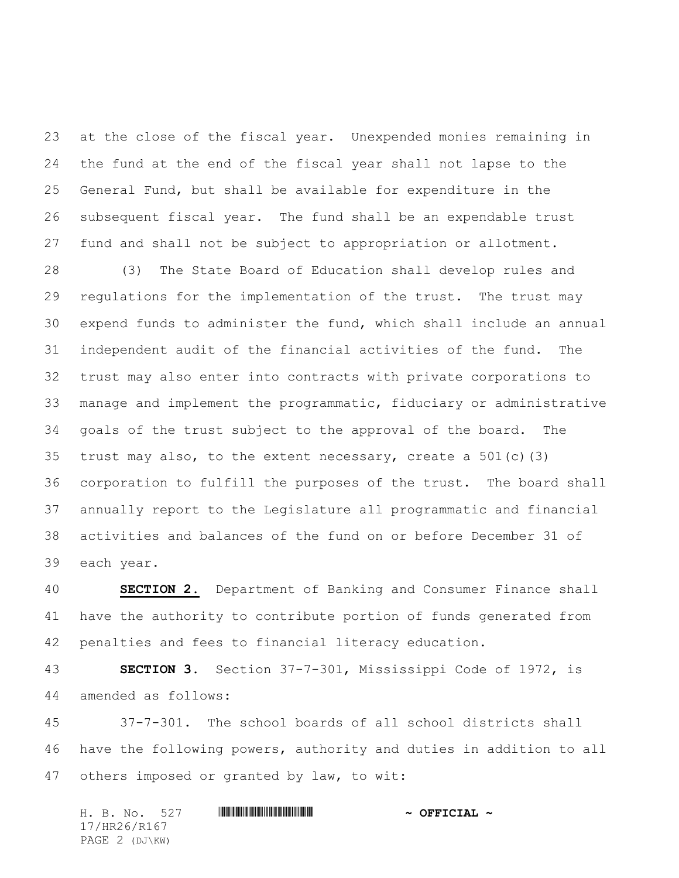at the close of the fiscal year. Unexpended monies remaining in the fund at the end of the fiscal year shall not lapse to the General Fund, but shall be available for expenditure in the subsequent fiscal year. The fund shall be an expendable trust fund and shall not be subject to appropriation or allotment.

 (3) The State Board of Education shall develop rules and regulations for the implementation of the trust. The trust may expend funds to administer the fund, which shall include an annual independent audit of the financial activities of the fund. The trust may also enter into contracts with private corporations to manage and implement the programmatic, fiduciary or administrative goals of the trust subject to the approval of the board. The trust may also, to the extent necessary, create a 501(c)(3) corporation to fulfill the purposes of the trust. The board shall annually report to the Legislature all programmatic and financial activities and balances of the fund on or before December 31 of each year.

 **SECTION 2.** Department of Banking and Consumer Finance shall have the authority to contribute portion of funds generated from penalties and fees to financial literacy education.

 **SECTION 3.** Section 37-7-301, Mississippi Code of 1972, is amended as follows:

 37-7-301. The school boards of all school districts shall have the following powers, authority and duties in addition to all others imposed or granted by law, to wit:

|  | H. B. No. 527  |  | $\sim$ OFFICIAL $\sim$ |  |
|--|----------------|--|------------------------|--|
|  | 17/HR26/R167   |  |                        |  |
|  | PAGE 2 (DJ\KW) |  |                        |  |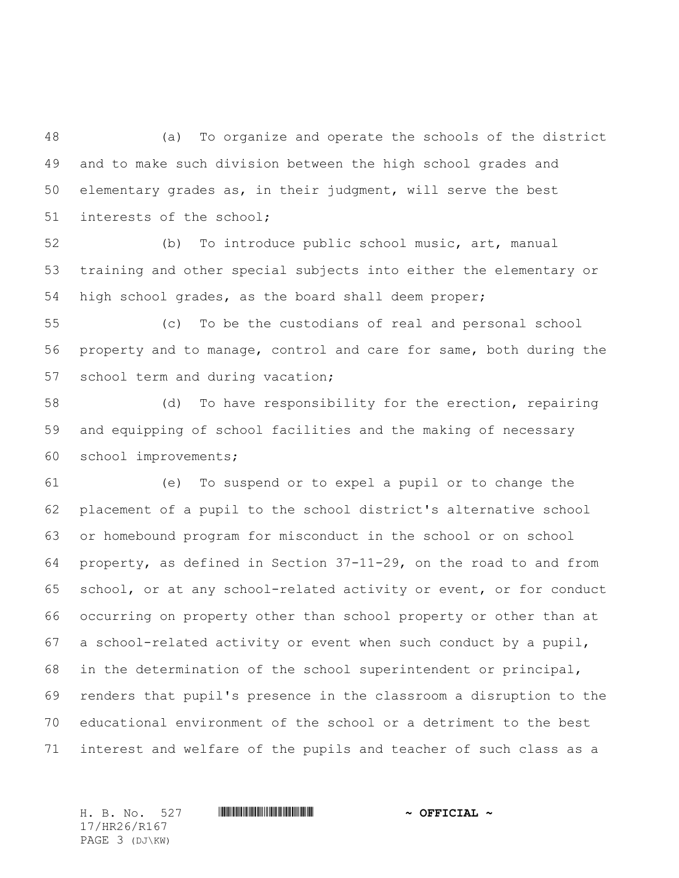(a) To organize and operate the schools of the district and to make such division between the high school grades and elementary grades as, in their judgment, will serve the best interests of the school;

 (b) To introduce public school music, art, manual training and other special subjects into either the elementary or high school grades, as the board shall deem proper;

 (c) To be the custodians of real and personal school property and to manage, control and care for same, both during the 57 school term and during vacation;

 (d) To have responsibility for the erection, repairing and equipping of school facilities and the making of necessary school improvements;

 (e) To suspend or to expel a pupil or to change the placement of a pupil to the school district's alternative school or homebound program for misconduct in the school or on school property, as defined in Section 37-11-29, on the road to and from school, or at any school-related activity or event, or for conduct occurring on property other than school property or other than at a school-related activity or event when such conduct by a pupil, in the determination of the school superintendent or principal, renders that pupil's presence in the classroom a disruption to the educational environment of the school or a detriment to the best interest and welfare of the pupils and teacher of such class as a

17/HR26/R167 PAGE 3 (DJ\KW)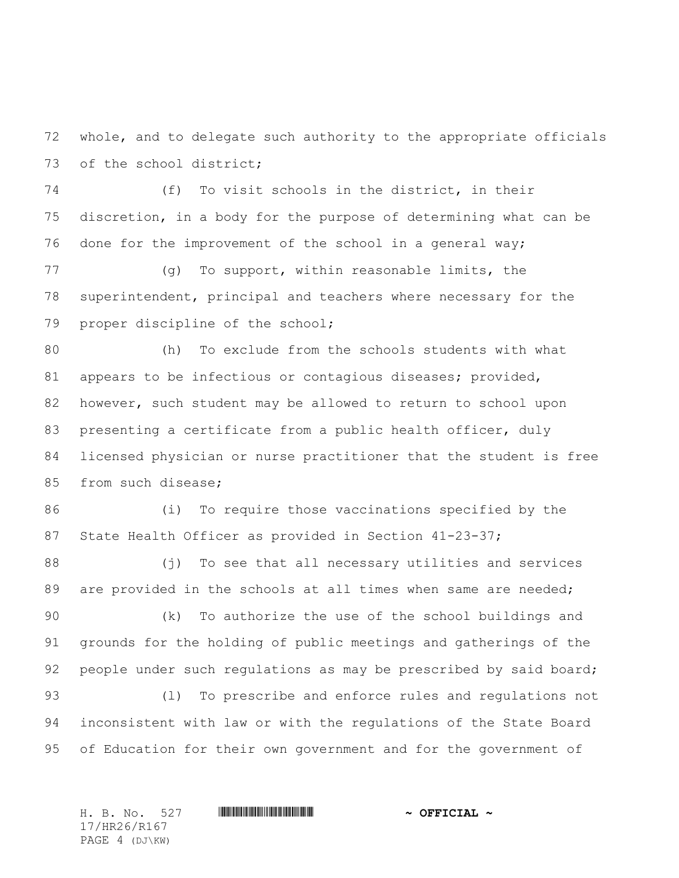whole, and to delegate such authority to the appropriate officials of the school district;

 (f) To visit schools in the district, in their discretion, in a body for the purpose of determining what can be done for the improvement of the school in a general way;

 (g) To support, within reasonable limits, the superintendent, principal and teachers where necessary for the proper discipline of the school;

 (h) To exclude from the schools students with what appears to be infectious or contagious diseases; provided, however, such student may be allowed to return to school upon presenting a certificate from a public health officer, duly licensed physician or nurse practitioner that the student is free 85 from such disease;

 (i) To require those vaccinations specified by the 87 State Health Officer as provided in Section 41-23-37;

 (j) To see that all necessary utilities and services 89 are provided in the schools at all times when same are needed;

 (k) To authorize the use of the school buildings and grounds for the holding of public meetings and gatherings of the 92 people under such regulations as may be prescribed by said board; (l) To prescribe and enforce rules and regulations not inconsistent with law or with the regulations of the State Board

of Education for their own government and for the government of

17/HR26/R167 PAGE 4 (DJ\KW)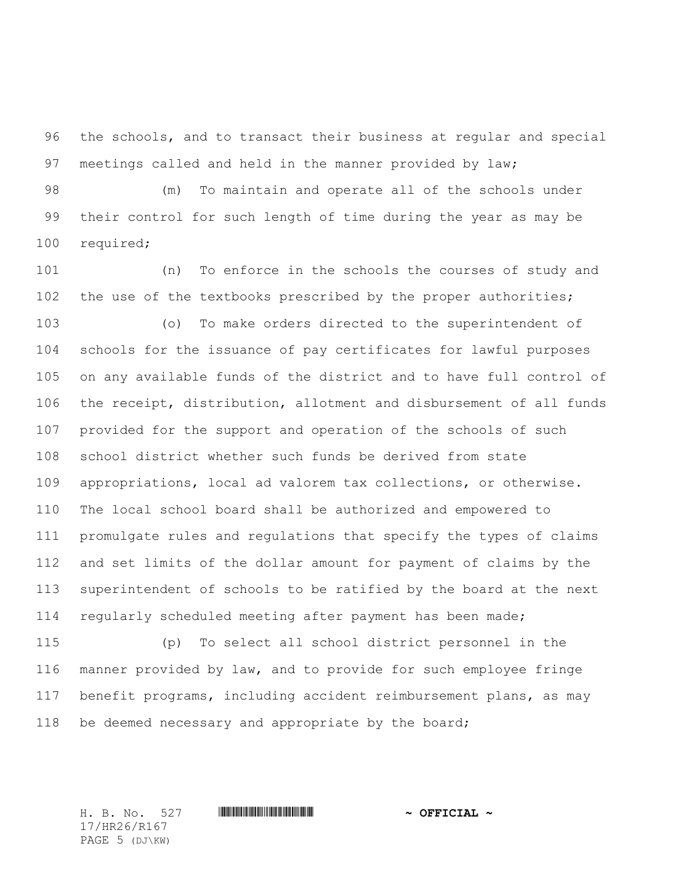the schools, and to transact their business at regular and special meetings called and held in the manner provided by law;

 (m) To maintain and operate all of the schools under their control for such length of time during the year as may be required;

 (n) To enforce in the schools the courses of study and the use of the textbooks prescribed by the proper authorities;

 (o) To make orders directed to the superintendent of schools for the issuance of pay certificates for lawful purposes on any available funds of the district and to have full control of the receipt, distribution, allotment and disbursement of all funds provided for the support and operation of the schools of such school district whether such funds be derived from state appropriations, local ad valorem tax collections, or otherwise. The local school board shall be authorized and empowered to promulgate rules and regulations that specify the types of claims and set limits of the dollar amount for payment of claims by the superintendent of schools to be ratified by the board at the next regularly scheduled meeting after payment has been made;

 (p) To select all school district personnel in the manner provided by law, and to provide for such employee fringe benefit programs, including accident reimbursement plans, as may 118 be deemed necessary and appropriate by the board;

17/HR26/R167 PAGE 5 (DJ\KW)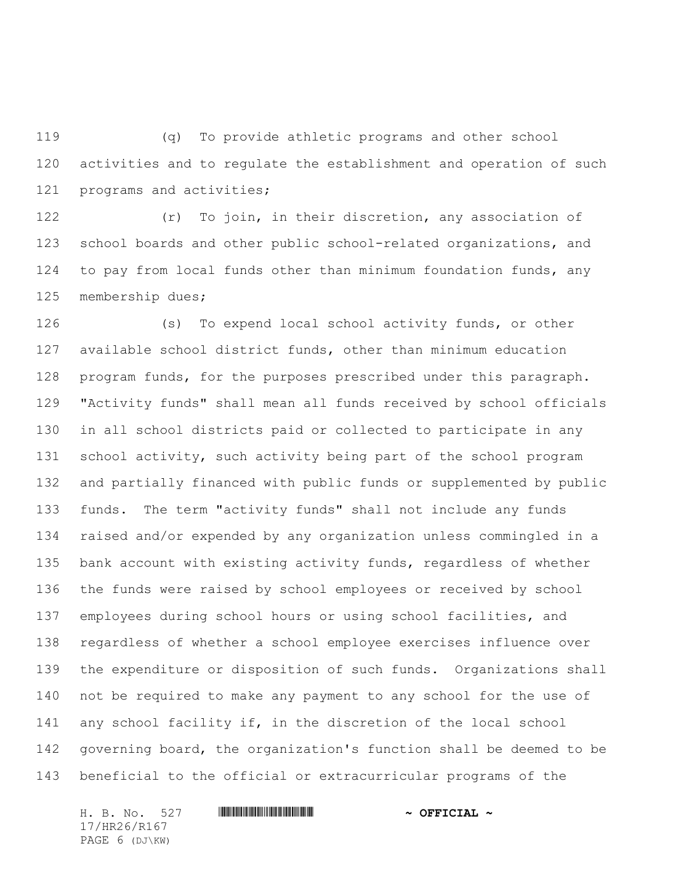(q) To provide athletic programs and other school activities and to regulate the establishment and operation of such programs and activities;

 (r) To join, in their discretion, any association of school boards and other public school-related organizations, and to pay from local funds other than minimum foundation funds, any membership dues;

 (s) To expend local school activity funds, or other available school district funds, other than minimum education program funds, for the purposes prescribed under this paragraph. "Activity funds" shall mean all funds received by school officials in all school districts paid or collected to participate in any school activity, such activity being part of the school program and partially financed with public funds or supplemented by public funds. The term "activity funds" shall not include any funds raised and/or expended by any organization unless commingled in a bank account with existing activity funds, regardless of whether the funds were raised by school employees or received by school employees during school hours or using school facilities, and regardless of whether a school employee exercises influence over the expenditure or disposition of such funds. Organizations shall not be required to make any payment to any school for the use of any school facility if, in the discretion of the local school governing board, the organization's function shall be deemed to be beneficial to the official or extracurricular programs of the

H. B. No. 527 \*HR26/R167\* **~ OFFICIAL ~** 17/HR26/R167 PAGE 6 (DJ\KW)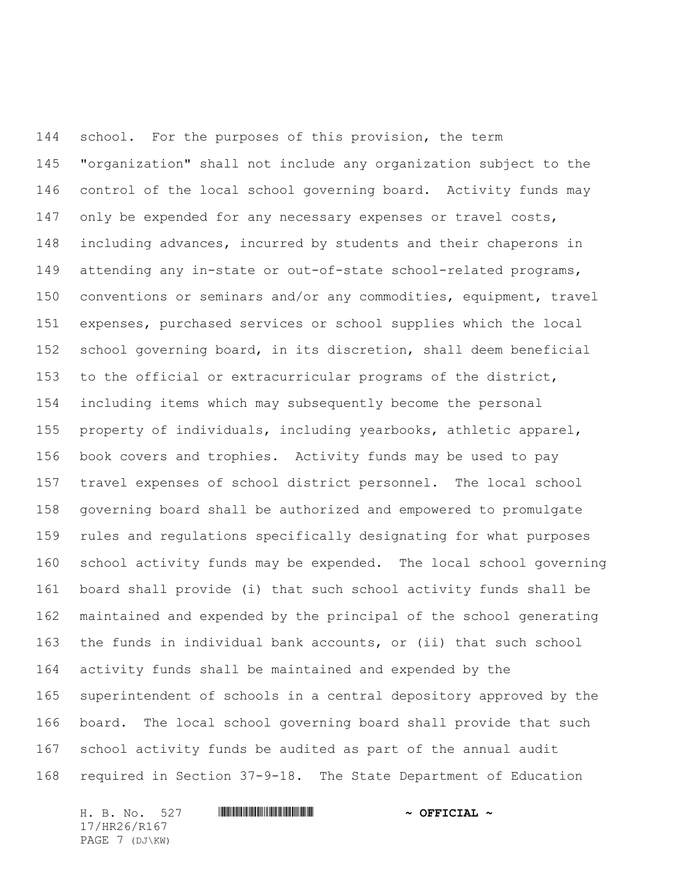school. For the purposes of this provision, the term "organization" shall not include any organization subject to the control of the local school governing board. Activity funds may 147 only be expended for any necessary expenses or travel costs, including advances, incurred by students and their chaperons in 149 attending any in-state or out-of-state school-related programs, conventions or seminars and/or any commodities, equipment, travel expenses, purchased services or school supplies which the local school governing board, in its discretion, shall deem beneficial to the official or extracurricular programs of the district, including items which may subsequently become the personal property of individuals, including yearbooks, athletic apparel, book covers and trophies. Activity funds may be used to pay travel expenses of school district personnel. The local school governing board shall be authorized and empowered to promulgate rules and regulations specifically designating for what purposes school activity funds may be expended. The local school governing board shall provide (i) that such school activity funds shall be maintained and expended by the principal of the school generating the funds in individual bank accounts, or (ii) that such school activity funds shall be maintained and expended by the superintendent of schools in a central depository approved by the board. The local school governing board shall provide that such school activity funds be audited as part of the annual audit required in Section 37-9-18. The State Department of Education

H. B. No. 527 \*HR26/R167\* **~ OFFICIAL ~** 17/HR26/R167 PAGE 7 (DJ\KW)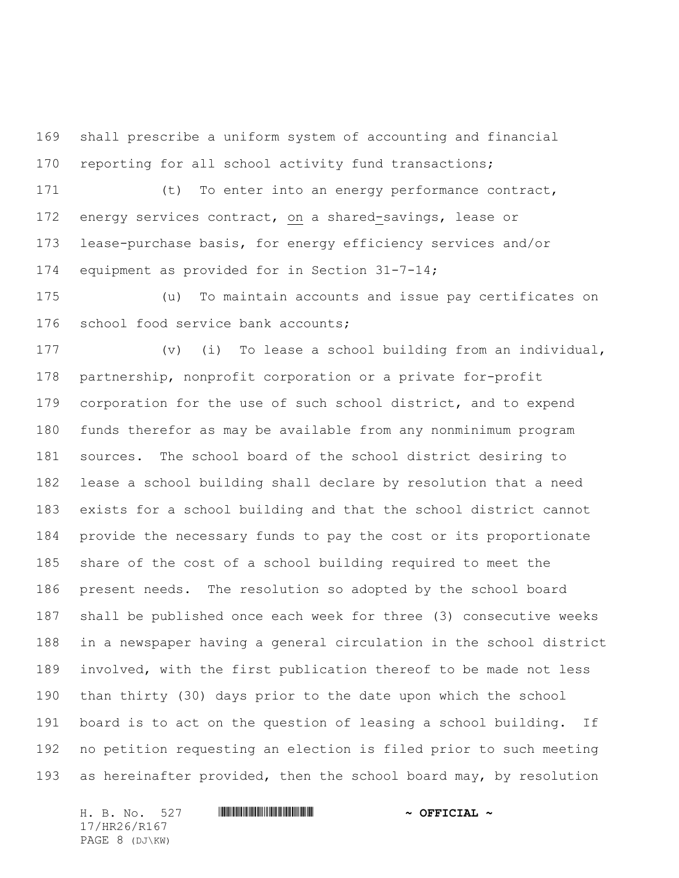shall prescribe a uniform system of accounting and financial reporting for all school activity fund transactions;

 (t) To enter into an energy performance contract, energy services contract, on a shared-savings, lease or lease-purchase basis, for energy efficiency services and/or equipment as provided for in Section 31-7-14;

 (u) To maintain accounts and issue pay certificates on school food service bank accounts;

 (v) (i) To lease a school building from an individual, partnership, nonprofit corporation or a private for-profit corporation for the use of such school district, and to expend funds therefor as may be available from any nonminimum program sources. The school board of the school district desiring to lease a school building shall declare by resolution that a need exists for a school building and that the school district cannot provide the necessary funds to pay the cost or its proportionate share of the cost of a school building required to meet the present needs. The resolution so adopted by the school board shall be published once each week for three (3) consecutive weeks in a newspaper having a general circulation in the school district involved, with the first publication thereof to be made not less than thirty (30) days prior to the date upon which the school board is to act on the question of leasing a school building. If no petition requesting an election is filed prior to such meeting as hereinafter provided, then the school board may, by resolution

H. B. No. 527 \*HR26/R167\* **~ OFFICIAL ~** 17/HR26/R167 PAGE 8 (DJ\KW)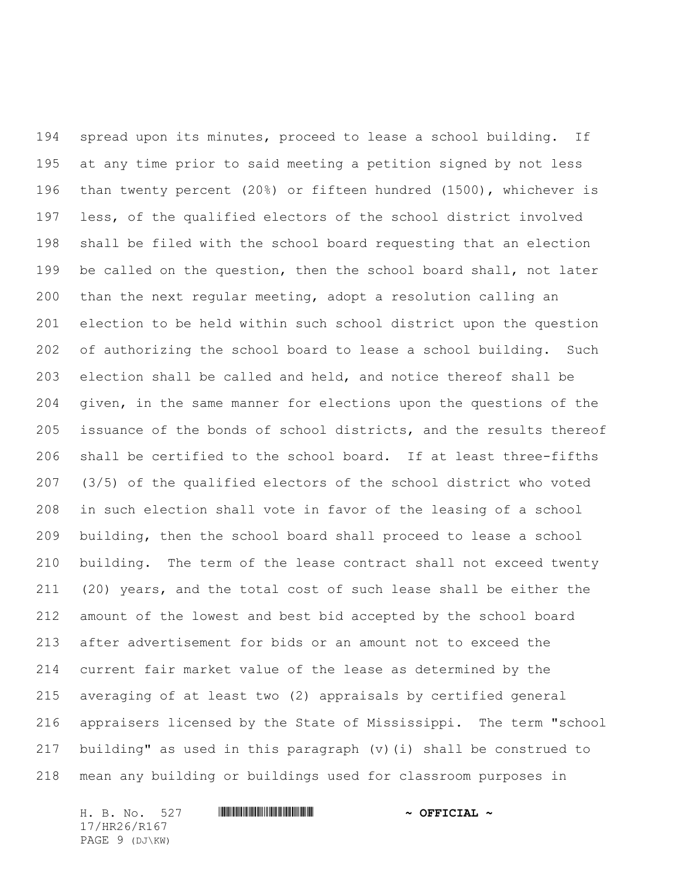spread upon its minutes, proceed to lease a school building. If at any time prior to said meeting a petition signed by not less than twenty percent (20%) or fifteen hundred (1500), whichever is less, of the qualified electors of the school district involved shall be filed with the school board requesting that an election be called on the question, then the school board shall, not later than the next regular meeting, adopt a resolution calling an election to be held within such school district upon the question of authorizing the school board to lease a school building. Such election shall be called and held, and notice thereof shall be given, in the same manner for elections upon the questions of the issuance of the bonds of school districts, and the results thereof shall be certified to the school board. If at least three-fifths (3/5) of the qualified electors of the school district who voted in such election shall vote in favor of the leasing of a school building, then the school board shall proceed to lease a school building. The term of the lease contract shall not exceed twenty (20) years, and the total cost of such lease shall be either the amount of the lowest and best bid accepted by the school board after advertisement for bids or an amount not to exceed the current fair market value of the lease as determined by the averaging of at least two (2) appraisals by certified general appraisers licensed by the State of Mississippi. The term "school building" as used in this paragraph (v)(i) shall be construed to mean any building or buildings used for classroom purposes in

H. B. No. 527 **HRANG RIGHT READ AND A OFFICIAL ~** 17/HR26/R167 PAGE 9 (DJ\KW)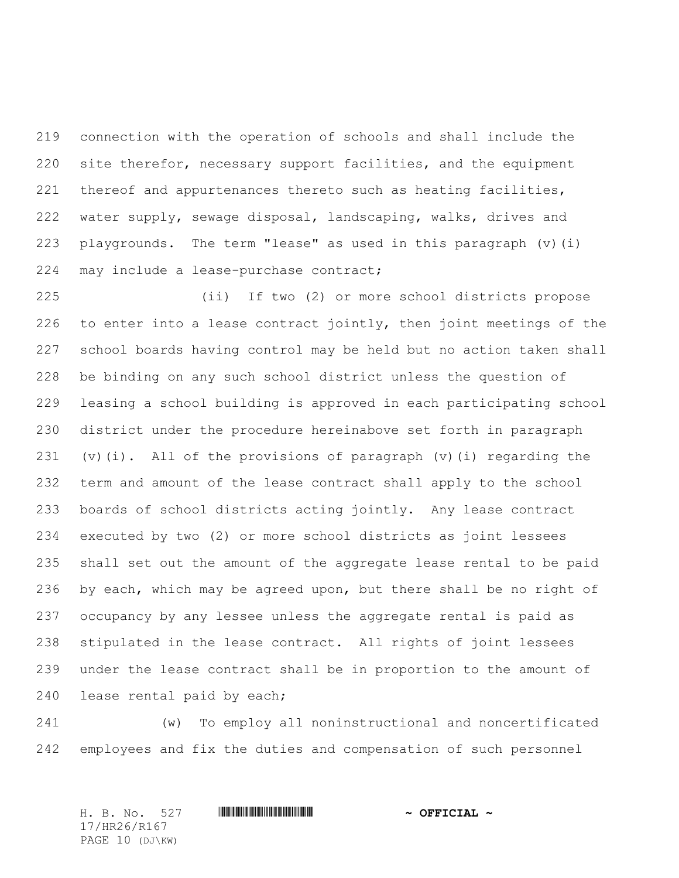connection with the operation of schools and shall include the site therefor, necessary support facilities, and the equipment thereof and appurtenances thereto such as heating facilities, water supply, sewage disposal, landscaping, walks, drives and playgrounds. The term "lease" as used in this paragraph (v)(i) may include a lease-purchase contract;

 (ii) If two (2) or more school districts propose to enter into a lease contract jointly, then joint meetings of the school boards having control may be held but no action taken shall be binding on any such school district unless the question of leasing a school building is approved in each participating school district under the procedure hereinabove set forth in paragraph (v)(i). All of the provisions of paragraph (v)(i) regarding the term and amount of the lease contract shall apply to the school boards of school districts acting jointly. Any lease contract executed by two (2) or more school districts as joint lessees shall set out the amount of the aggregate lease rental to be paid by each, which may be agreed upon, but there shall be no right of occupancy by any lessee unless the aggregate rental is paid as stipulated in the lease contract. All rights of joint lessees under the lease contract shall be in proportion to the amount of lease rental paid by each;

 (w) To employ all noninstructional and noncertificated employees and fix the duties and compensation of such personnel

H. B. No. 527 \*HR26/R167\* **~ OFFICIAL ~** 17/HR26/R167 PAGE 10 (DJ\KW)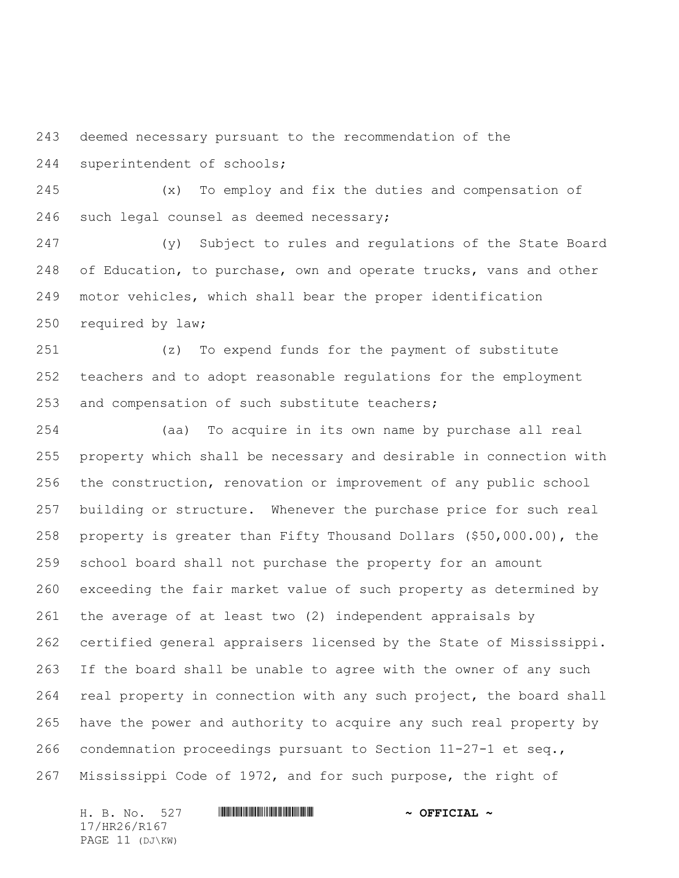deemed necessary pursuant to the recommendation of the superintendent of schools;

 (x) To employ and fix the duties and compensation of such legal counsel as deemed necessary;

 (y) Subject to rules and regulations of the State Board 248 of Education, to purchase, own and operate trucks, vans and other motor vehicles, which shall bear the proper identification required by law;

 (z) To expend funds for the payment of substitute teachers and to adopt reasonable regulations for the employment and compensation of such substitute teachers;

 (aa) To acquire in its own name by purchase all real property which shall be necessary and desirable in connection with the construction, renovation or improvement of any public school building or structure. Whenever the purchase price for such real property is greater than Fifty Thousand Dollars (\$50,000.00), the school board shall not purchase the property for an amount exceeding the fair market value of such property as determined by the average of at least two (2) independent appraisals by certified general appraisers licensed by the State of Mississippi. If the board shall be unable to agree with the owner of any such real property in connection with any such project, the board shall have the power and authority to acquire any such real property by condemnation proceedings pursuant to Section 11-27-1 et seq., Mississippi Code of 1972, and for such purpose, the right of

17/HR26/R167 PAGE 11 (DJ\KW)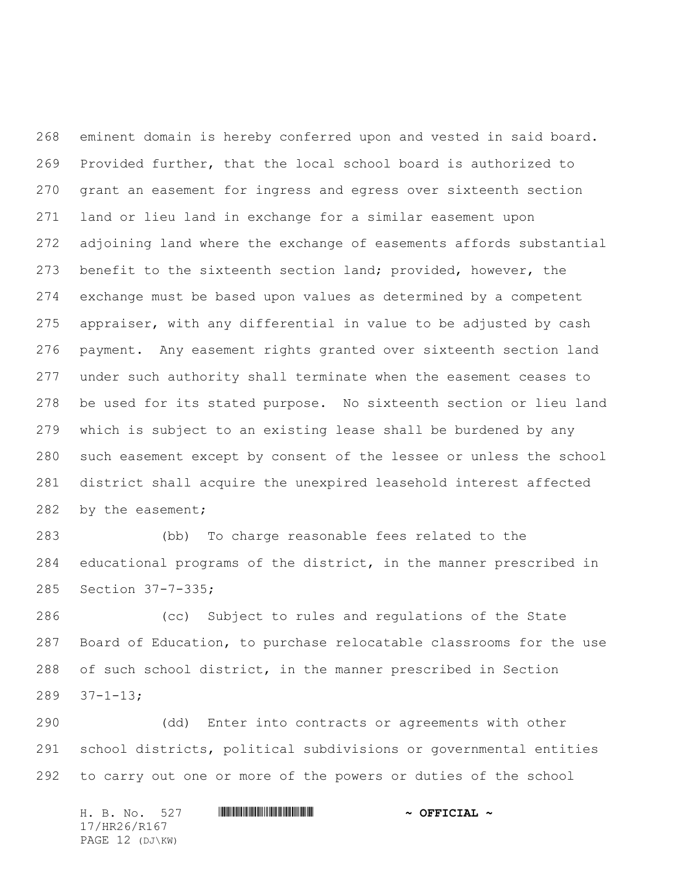eminent domain is hereby conferred upon and vested in said board. Provided further, that the local school board is authorized to grant an easement for ingress and egress over sixteenth section land or lieu land in exchange for a similar easement upon adjoining land where the exchange of easements affords substantial benefit to the sixteenth section land; provided, however, the exchange must be based upon values as determined by a competent appraiser, with any differential in value to be adjusted by cash payment. Any easement rights granted over sixteenth section land under such authority shall terminate when the easement ceases to be used for its stated purpose. No sixteenth section or lieu land which is subject to an existing lease shall be burdened by any such easement except by consent of the lessee or unless the school district shall acquire the unexpired leasehold interest affected 282 by the easement;

 (bb) To charge reasonable fees related to the educational programs of the district, in the manner prescribed in Section 37-7-335;

 (cc) Subject to rules and regulations of the State Board of Education, to purchase relocatable classrooms for the use of such school district, in the manner prescribed in Section 37-1-13;

 (dd) Enter into contracts or agreements with other school districts, political subdivisions or governmental entities to carry out one or more of the powers or duties of the school

H. B. No. 527 \*HR26/R167\* **~ OFFICIAL ~** 17/HR26/R167 PAGE 12 (DJ\KW)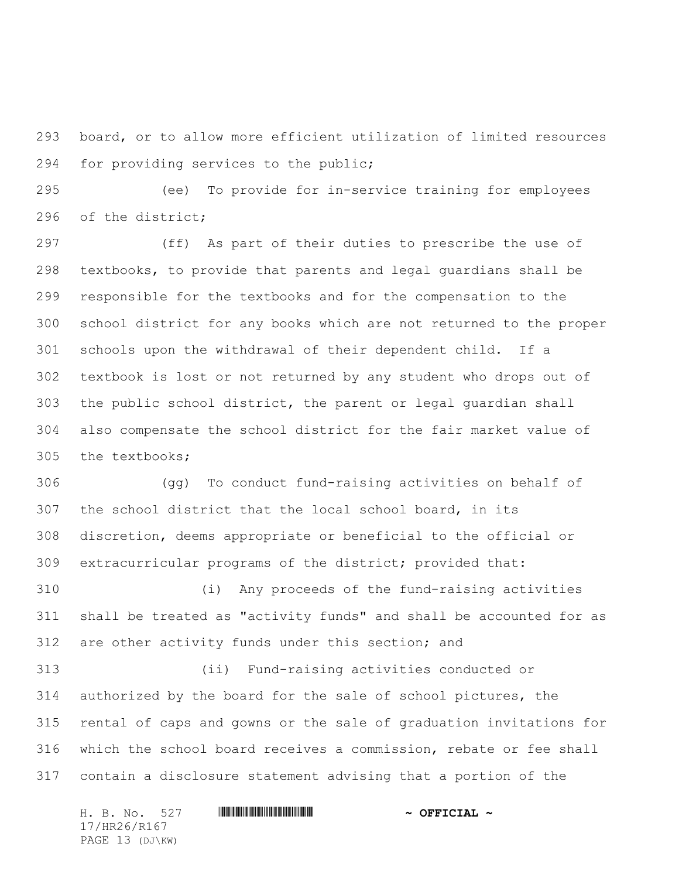board, or to allow more efficient utilization of limited resources for providing services to the public;

 (ee) To provide for in-service training for employees of the district;

 (ff) As part of their duties to prescribe the use of textbooks, to provide that parents and legal guardians shall be responsible for the textbooks and for the compensation to the school district for any books which are not returned to the proper schools upon the withdrawal of their dependent child. If a textbook is lost or not returned by any student who drops out of the public school district, the parent or legal guardian shall also compensate the school district for the fair market value of the textbooks;

 (gg) To conduct fund-raising activities on behalf of the school district that the local school board, in its discretion, deems appropriate or beneficial to the official or extracurricular programs of the district; provided that:

 (i) Any proceeds of the fund-raising activities shall be treated as "activity funds" and shall be accounted for as are other activity funds under this section; and

 (ii) Fund-raising activities conducted or authorized by the board for the sale of school pictures, the rental of caps and gowns or the sale of graduation invitations for which the school board receives a commission, rebate or fee shall contain a disclosure statement advising that a portion of the

H. B. No. 527 \*HR26/R167\* **~ OFFICIAL ~** 17/HR26/R167 PAGE 13 (DJ\KW)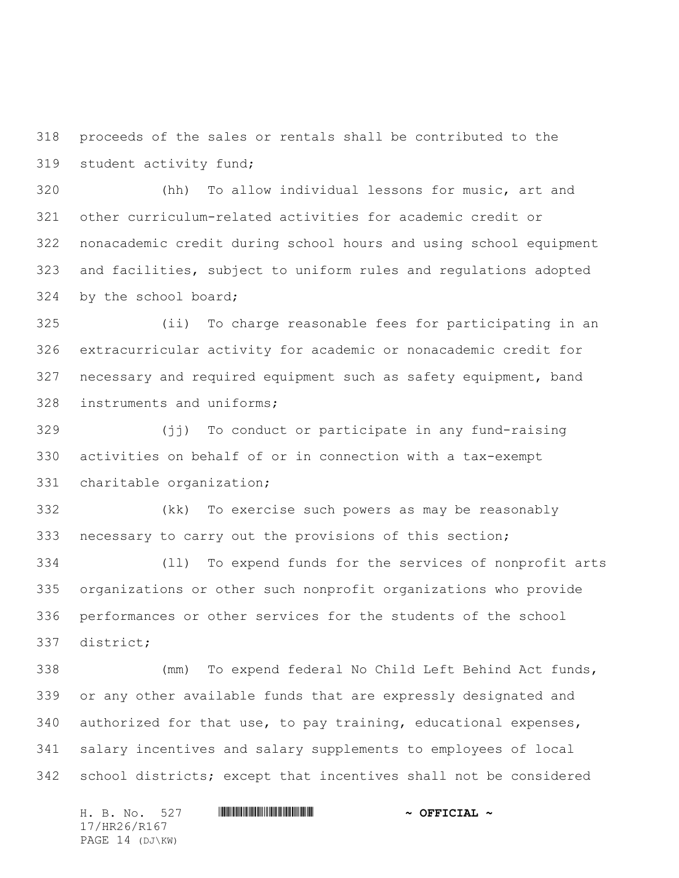proceeds of the sales or rentals shall be contributed to the student activity fund;

 (hh) To allow individual lessons for music, art and other curriculum-related activities for academic credit or nonacademic credit during school hours and using school equipment and facilities, subject to uniform rules and regulations adopted by the school board;

 (ii) To charge reasonable fees for participating in an extracurricular activity for academic or nonacademic credit for necessary and required equipment such as safety equipment, band instruments and uniforms;

 (jj) To conduct or participate in any fund-raising activities on behalf of or in connection with a tax-exempt charitable organization;

 (kk) To exercise such powers as may be reasonably necessary to carry out the provisions of this section;

 (ll) To expend funds for the services of nonprofit arts organizations or other such nonprofit organizations who provide performances or other services for the students of the school district;

 (mm) To expend federal No Child Left Behind Act funds, or any other available funds that are expressly designated and authorized for that use, to pay training, educational expenses, salary incentives and salary supplements to employees of local school districts; except that incentives shall not be considered

H. B. No. 527 \*HR26/R167\* **~ OFFICIAL ~** 17/HR26/R167 PAGE 14 (DJ\KW)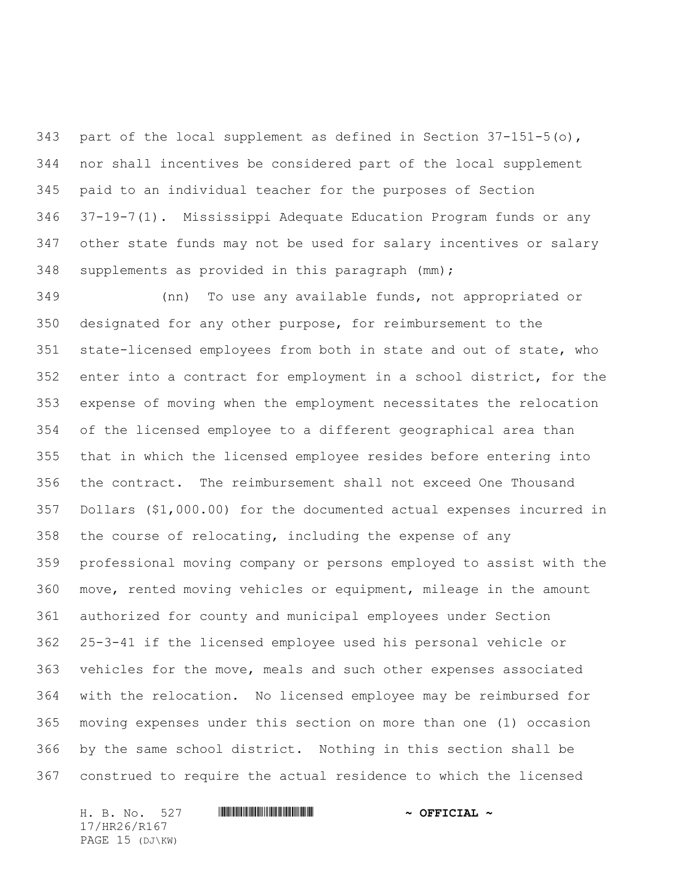343 part of the local supplement as defined in Section  $37-151-5$  (o), nor shall incentives be considered part of the local supplement paid to an individual teacher for the purposes of Section 37-19-7(1). Mississippi Adequate Education Program funds or any other state funds may not be used for salary incentives or salary supplements as provided in this paragraph (mm);

 (nn) To use any available funds, not appropriated or designated for any other purpose, for reimbursement to the state-licensed employees from both in state and out of state, who enter into a contract for employment in a school district, for the expense of moving when the employment necessitates the relocation of the licensed employee to a different geographical area than that in which the licensed employee resides before entering into the contract. The reimbursement shall not exceed One Thousand Dollars (\$1,000.00) for the documented actual expenses incurred in the course of relocating, including the expense of any professional moving company or persons employed to assist with the move, rented moving vehicles or equipment, mileage in the amount authorized for county and municipal employees under Section 25-3-41 if the licensed employee used his personal vehicle or vehicles for the move, meals and such other expenses associated with the relocation. No licensed employee may be reimbursed for moving expenses under this section on more than one (1) occasion by the same school district. Nothing in this section shall be construed to require the actual residence to which the licensed

H. B. No. 527 \*HR26/R167\* **~ OFFICIAL ~** 17/HR26/R167 PAGE 15 (DJ\KW)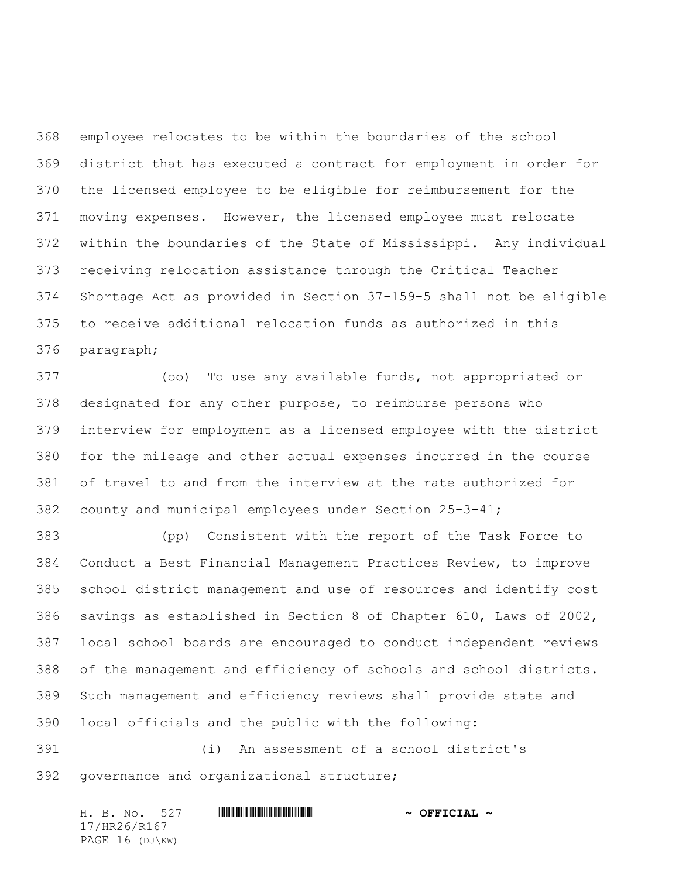employee relocates to be within the boundaries of the school district that has executed a contract for employment in order for the licensed employee to be eligible for reimbursement for the moving expenses. However, the licensed employee must relocate within the boundaries of the State of Mississippi. Any individual receiving relocation assistance through the Critical Teacher Shortage Act as provided in Section 37-159-5 shall not be eligible to receive additional relocation funds as authorized in this paragraph;

 (oo) To use any available funds, not appropriated or designated for any other purpose, to reimburse persons who interview for employment as a licensed employee with the district for the mileage and other actual expenses incurred in the course of travel to and from the interview at the rate authorized for county and municipal employees under Section 25-3-41;

 (pp) Consistent with the report of the Task Force to Conduct a Best Financial Management Practices Review, to improve school district management and use of resources and identify cost savings as established in Section 8 of Chapter 610, Laws of 2002, local school boards are encouraged to conduct independent reviews of the management and efficiency of schools and school districts. Such management and efficiency reviews shall provide state and local officials and the public with the following:

 (i) An assessment of a school district's governance and organizational structure;

H. B. No. 527 \*HR26/R167\* **~ OFFICIAL ~** 17/HR26/R167 PAGE 16 (DJ\KW)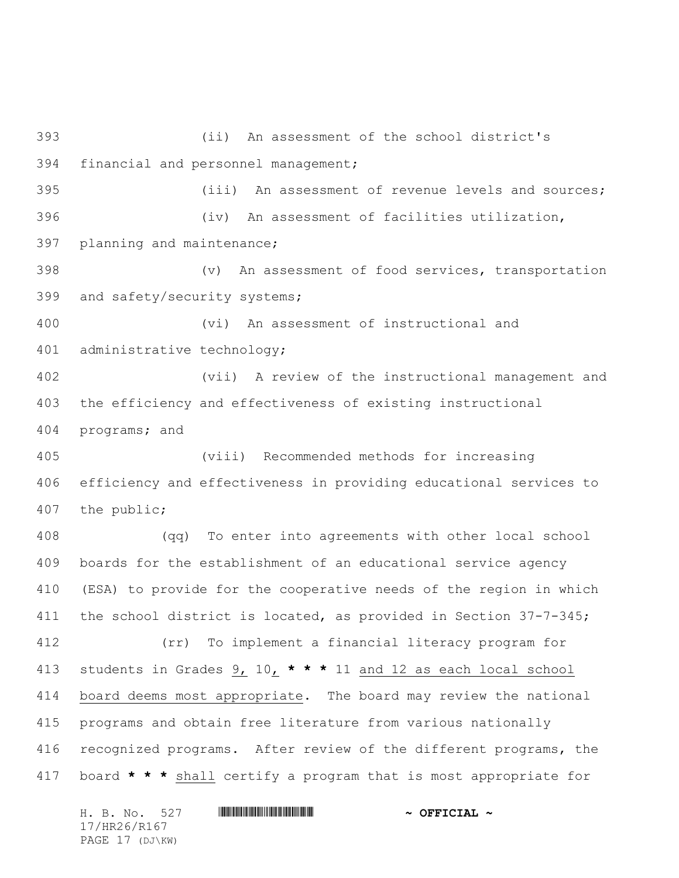(ii) An assessment of the school district's financial and personnel management; (iii) An assessment of revenue levels and sources; (iv) An assessment of facilities utilization, planning and maintenance; (v) An assessment of food services, transportation and safety/security systems; (vi) An assessment of instructional and administrative technology; (vii) A review of the instructional management and the efficiency and effectiveness of existing instructional programs; and (viii) Recommended methods for increasing efficiency and effectiveness in providing educational services to the public; (qq) To enter into agreements with other local school boards for the establishment of an educational service agency (ESA) to provide for the cooperative needs of the region in which the school district is located, as provided in Section 37-7-345; (rr) To implement a financial literacy program for students in Grades 9, 10, **\* \* \*** 11 and 12 as each local school board deems most appropriate. The board may review the national programs and obtain free literature from various nationally recognized programs. After review of the different programs, the board **\* \* \*** shall certify a program that is most appropriate for

H. B. No. 527 **HRANG BEET ALL AND SEPTICIAL ~** 17/HR26/R167 PAGE 17 (DJ\KW)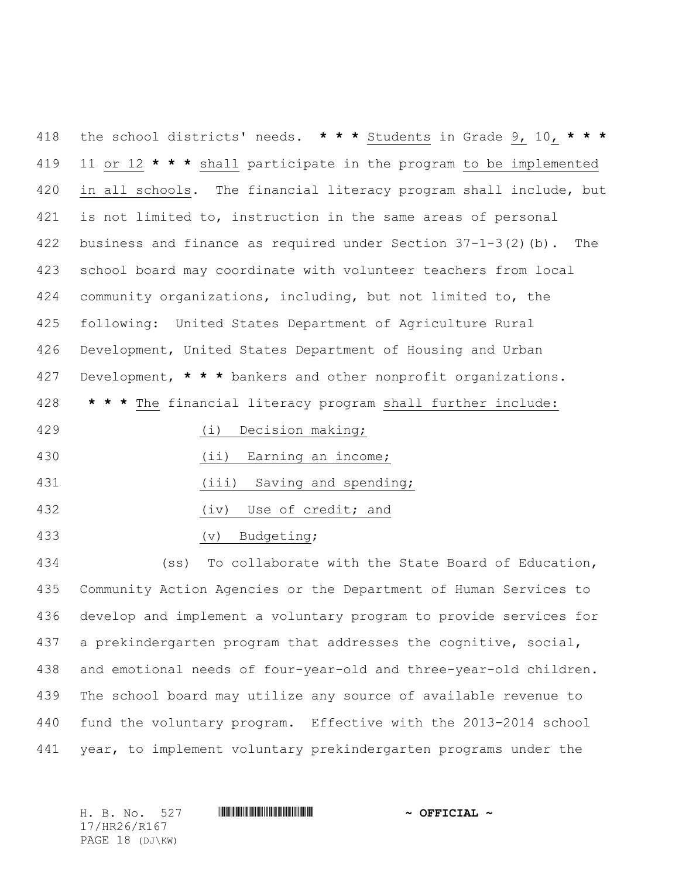the school districts' needs. **\* \* \*** Students in Grade 9, 10, **\* \* \*** 11 or 12 **\* \* \*** shall participate in the program to be implemented 420 in all schools. The financial literacy program shall include, but is not limited to, instruction in the same areas of personal business and finance as required under Section 37-1-3(2)(b). The school board may coordinate with volunteer teachers from local community organizations, including, but not limited to, the following: United States Department of Agriculture Rural Development, United States Department of Housing and Urban Development, **\* \* \*** bankers and other nonprofit organizations. **\* \* \*** The financial literacy program shall further include: (i) Decision making;

(ii) Earning an income;

431 (iii) Saving and spending;

432 (iv) Use of credit; and

(v) Budgeting;

 (ss) To collaborate with the State Board of Education, Community Action Agencies or the Department of Human Services to develop and implement a voluntary program to provide services for a prekindergarten program that addresses the cognitive, social, and emotional needs of four-year-old and three-year-old children. The school board may utilize any source of available revenue to fund the voluntary program. Effective with the 2013-2014 school year, to implement voluntary prekindergarten programs under the

17/HR26/R167 PAGE 18 (DJ\KW)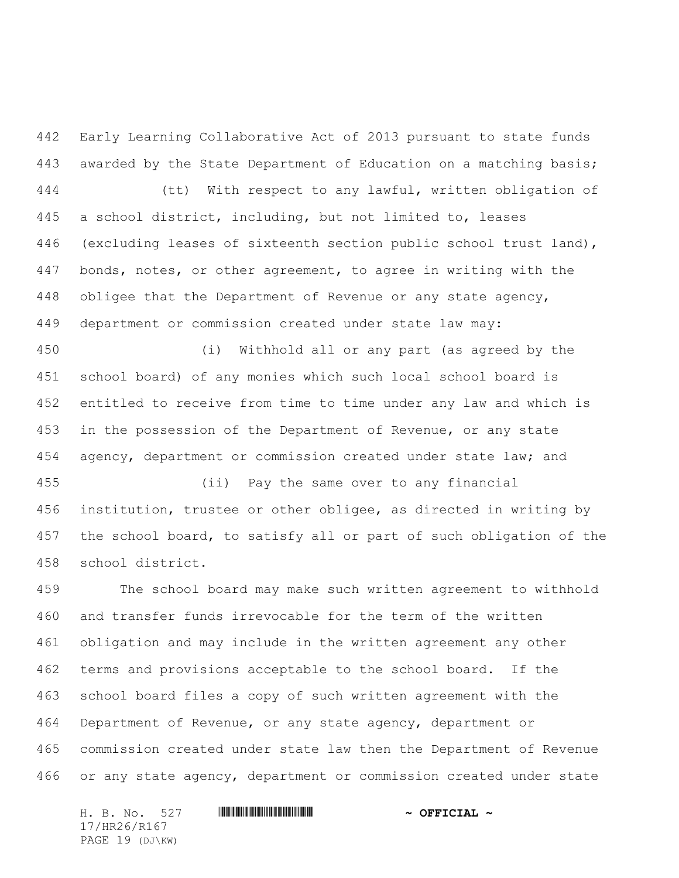Early Learning Collaborative Act of 2013 pursuant to state funds awarded by the State Department of Education on a matching basis; (tt) With respect to any lawful, written obligation of a school district, including, but not limited to, leases (excluding leases of sixteenth section public school trust land), bonds, notes, or other agreement, to agree in writing with the obligee that the Department of Revenue or any state agency, department or commission created under state law may:

 (i) Withhold all or any part (as agreed by the school board) of any monies which such local school board is entitled to receive from time to time under any law and which is in the possession of the Department of Revenue, or any state agency, department or commission created under state law; and

 (ii) Pay the same over to any financial institution, trustee or other obligee, as directed in writing by the school board, to satisfy all or part of such obligation of the school district.

 The school board may make such written agreement to withhold and transfer funds irrevocable for the term of the written obligation and may include in the written agreement any other terms and provisions acceptable to the school board. If the school board files a copy of such written agreement with the Department of Revenue, or any state agency, department or commission created under state law then the Department of Revenue or any state agency, department or commission created under state

H. B. No. 527 \*HR26/R167\* **~ OFFICIAL ~** 17/HR26/R167 PAGE 19 (DJ\KW)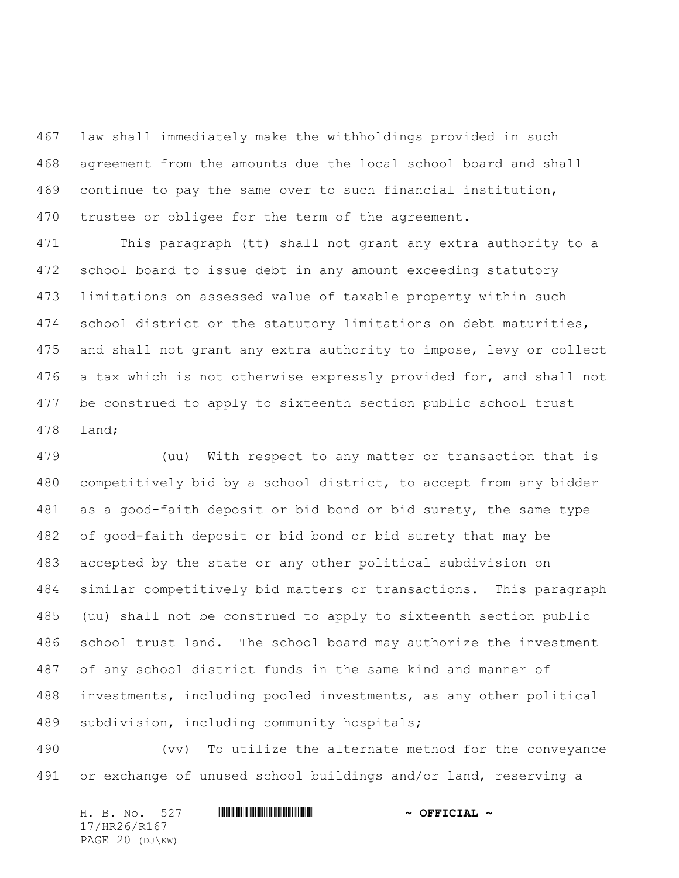law shall immediately make the withholdings provided in such agreement from the amounts due the local school board and shall continue to pay the same over to such financial institution, trustee or obligee for the term of the agreement.

 This paragraph (tt) shall not grant any extra authority to a school board to issue debt in any amount exceeding statutory limitations on assessed value of taxable property within such school district or the statutory limitations on debt maturities, and shall not grant any extra authority to impose, levy or collect 476 a tax which is not otherwise expressly provided for, and shall not be construed to apply to sixteenth section public school trust land;

 (uu) With respect to any matter or transaction that is competitively bid by a school district, to accept from any bidder as a good-faith deposit or bid bond or bid surety, the same type of good-faith deposit or bid bond or bid surety that may be accepted by the state or any other political subdivision on similar competitively bid matters or transactions. This paragraph (uu) shall not be construed to apply to sixteenth section public school trust land. The school board may authorize the investment of any school district funds in the same kind and manner of investments, including pooled investments, as any other political subdivision, including community hospitals;

 (vv) To utilize the alternate method for the conveyance or exchange of unused school buildings and/or land, reserving a

H. B. No. 527 **HRANG BEET ALL AND SEPTICIAL ~** 17/HR26/R167 PAGE 20 (DJ\KW)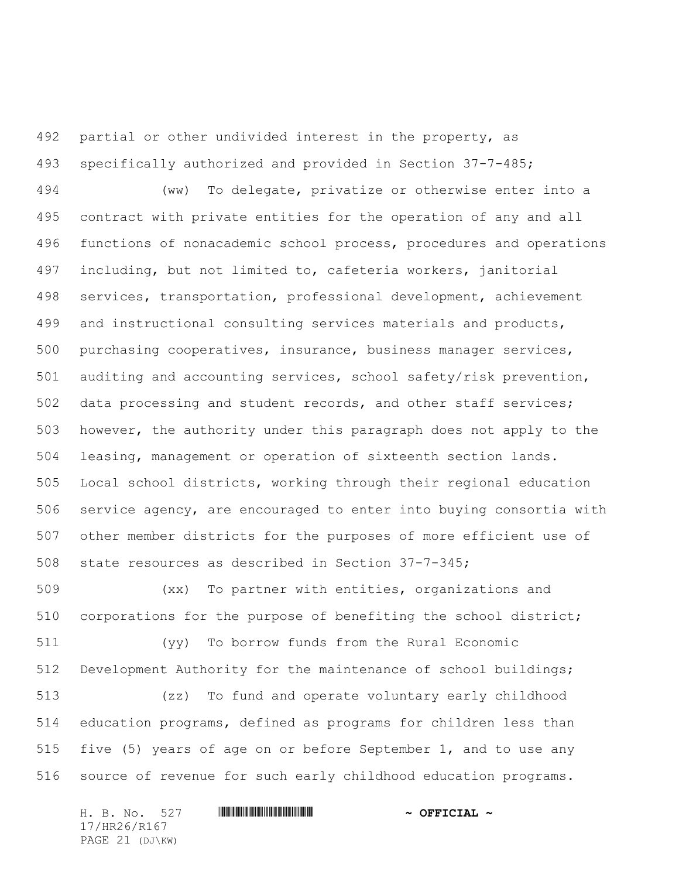partial or other undivided interest in the property, as specifically authorized and provided in Section 37-7-485;

 (ww) To delegate, privatize or otherwise enter into a contract with private entities for the operation of any and all functions of nonacademic school process, procedures and operations including, but not limited to, cafeteria workers, janitorial services, transportation, professional development, achievement and instructional consulting services materials and products, purchasing cooperatives, insurance, business manager services, auditing and accounting services, school safety/risk prevention, data processing and student records, and other staff services; however, the authority under this paragraph does not apply to the leasing, management or operation of sixteenth section lands. Local school districts, working through their regional education service agency, are encouraged to enter into buying consortia with other member districts for the purposes of more efficient use of state resources as described in Section 37-7-345;

 (xx) To partner with entities, organizations and corporations for the purpose of benefiting the school district;

 (yy) To borrow funds from the Rural Economic Development Authority for the maintenance of school buildings;

 (zz) To fund and operate voluntary early childhood education programs, defined as programs for children less than five (5) years of age on or before September 1, and to use any source of revenue for such early childhood education programs.

H. B. No. 527 \*HR26/R167\* **~ OFFICIAL ~** 17/HR26/R167 PAGE 21 (DJ\KW)